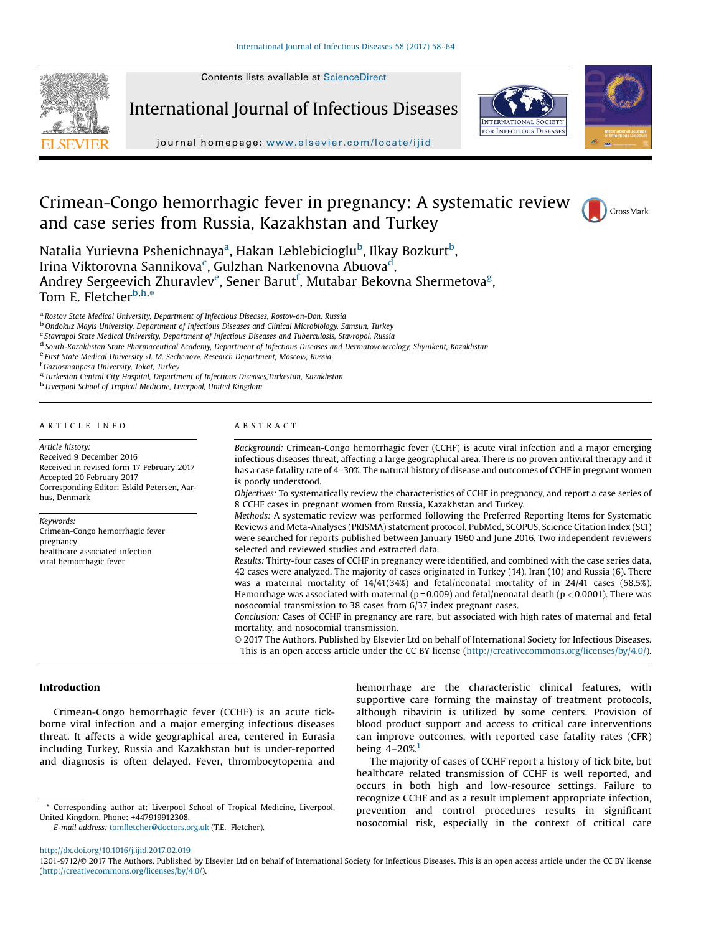Contents lists available at [ScienceDirect](http://www.sciencedirect.com/science/journal/12019712)



International Journal of Infectious Diseases



journal homepage: <www.elsevier.com/locate/ijid>

# Crimean-Congo hemorrhagic fever in pregnancy: A systematic review and case series from Russia, Kazakhstan and Turkey



Natalia Yurievna Pshenichnaya<sup>a</sup>, Hakan Leblebicioglu<sup>b</sup>, Ilkay Bozkurt<sup>b</sup>, Irina Viktorovna Sannikova<sup>c</sup>, Gulzhan Narkenovna Abuova<sup>d</sup>, Andrey Sergeevich Zhuravlev $^{\rm e}$ , Sener Barut $^{\rm f}$ , Mutabar Bekovna Shermetova $^{\rm g}$ , Tom E. Fletcher<sup>b,h,\*</sup>

<sup>a</sup> Rostov State Medical University, Department of Infectious Diseases, Rostov-on-Don, Russia<br><sup>b</sup> Ondokuz Mayis University, Department of Infectious Diseases and Clinical Microbiology, Samsun, Turkey<br><sup>c</sup> Stavrapol State Me

<sup>d</sup> South-Kazakhstan State Pharmaceutical Academy, Department of Infectious Diseases and Dermatovenerology, Shymkent, Kazakhstan<br><sup>e</sup> First State Medical University «I. M. Sechenov», Research Department, Moscow, Russia<br><sup>f</sup>

<sup>g</sup> Turkestan Central City Hospital, Department of Infectious Diseases,Turkestan, Kazakhstan h Liverpool School of Tropical Medicine, Liverpool, United Kingdom

## A R T I C L E I N F O

Article history: Received 9 December 2016 Received in revised form 17 February 2017 Accepted 20 February 2017 Corresponding Editor: Eskild Petersen, Aarhus, Denmark

Keywords: Crimean-Congo hemorrhagic fever pregnancy healthcare associated infection viral hemorrhagic fever

## A B S T R A C T

Background: Crimean-Congo hemorrhagic fever (CCHF) is acute viral infection and a major emerging infectious diseases threat, affecting a large geographical area. There is no proven antiviral therapy and it has a case fatality rate of 4–30%. The natural history of disease and outcomes of CCHF in pregnant women is poorly understood.

Objectives: To systematically review the characteristics of CCHF in pregnancy, and report a case series of 8 CCHF cases in pregnant women from Russia, Kazakhstan and Turkey.

Methods: A systematic review was performed following the Preferred Reporting Items for Systematic Reviews and Meta-Analyses (PRISMA) statement protocol. PubMed, SCOPUS, Science Citation Index (SCI) were searched for reports published between January 1960 and June 2016. Two independent reviewers selected and reviewed studies and extracted data.

Results: Thirty-four cases of CCHF in pregnancy were identified, and combined with the case series data, 42 cases were analyzed. The majority of cases originated in Turkey (14), Iran (10) and Russia (6). There was a maternal mortality of 14/41(34%) and fetal/neonatal mortality of in 24/41 cases (58.5%). Hemorrhage was associated with maternal ( $p = 0.009$ ) and fetal/neonatal death ( $p < 0.0001$ ). There was nosocomial transmission to 38 cases from 6/37 index pregnant cases.

Conclusion: Cases of CCHF in pregnancy are rare, but associated with high rates of maternal and fetal mortality, and nosocomial transmission.

© 2017 The Authors. Published by Elsevier Ltd on behalf of International Society for Infectious Diseases. This is an open access article under the CC BY license (<http://creativecommons.org/licenses/by/4.0/>).

## Introduction

Crimean-Congo hemorrhagic fever (CCHF) is an acute tickborne viral infection and a major emerging infectious diseases threat. It affects a wide geographical area, centered in Eurasia including Turkey, Russia and Kazakhstan but is under-reported and diagnosis is often delayed. Fever, thrombocytopenia and

E-mail address: tomfl[etcher@doctors.org.uk](undefined) (T.E. Fletcher).

hemorrhage are the characteristic clinical features, with supportive care forming the mainstay of treatment protocols, although ribavirin is utilized by some centers. Provision of blood product support and access to critical care interventions can improve outcomes, with reported case fatality rates (CFR) being  $4-20\%$ <sup>[1](#page-5-0)</sup>

The majority of cases of CCHF report a history of tick bite, but healthcare related transmission of CCHF is well reported, and occurs in both high and low-resource settings. Failure to recognize CCHF and as a result implement appropriate infection, prevention and control procedures results in significant nosocomial risk, especially in the context of critical care

<sup>\*</sup> Corresponding author at: Liverpool School of Tropical Medicine, Liverpool, United Kingdom. Phone: +447919912308.

<http://dx.doi.org/10.1016/j.ijid.2017.02.019>

<sup>1201-9712/© 2017</sup> The Authors. Published by Elsevier Ltd on behalf of International Society for Infectious Diseases. This is an open access article under the CC BY license [\(http://creativecommons.org/licenses/by/4.0/\)](http://creativecommons.org/licenses/by/4.0/).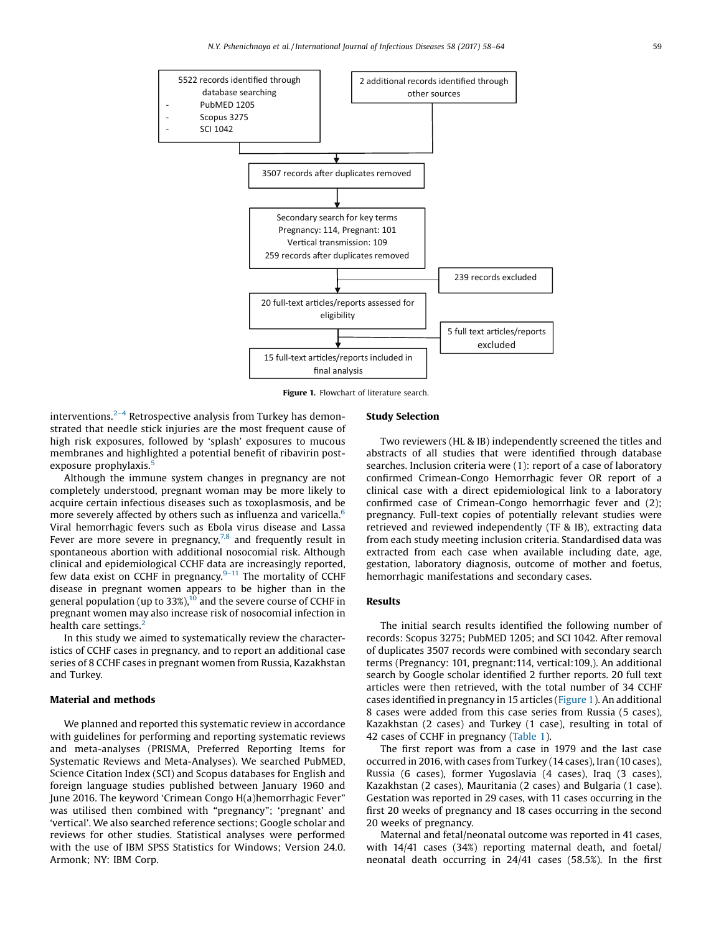

Figure 1. Flowchart of literature search.

interventions. $2-4$  [Retrospective](#page-5-0) analysis from Turkey has demonstrated that needle stick injuries are the most frequent cause of high risk exposures, followed by 'splash' exposures to mucous membranes and highlighted a potential benefit of ribavirin post-exposure prophylaxis.<sup>[5](#page-5-0)</sup>

Although the immune system changes in pregnancy are not completely understood, pregnant woman may be more likely to acquire certain infectious diseases such as toxoplasmosis, and be more severely affected by others such as influenza and varicella.<sup>[6](#page-5-0)</sup> Viral hemorrhagic fevers such as Ebola virus disease and Lassa Fever are more severe in pregnancy, $7,8$  and [frequently](#page-5-0) result in spontaneous abortion with additional nosocomial risk. Although clinical and epidemiological CCHF data are increasingly reported, few data exist on CCHF in pregnancy. $9-11$  The [mortality](#page-5-0) of CCHF disease in pregnant women appears to be higher than in the general population (up to 33%),<sup>[10](#page-5-0)</sup> and the severe course of CCHF in pregnant women may also increase risk of nosocomial infection in health care settings.<sup>2</sup>

In this study we aimed to systematically review the characteristics of CCHF cases in pregnancy, and to report an additional case series of 8 CCHF cases in pregnant women from Russia, Kazakhstan and Turkey.

## Material and methods

We planned and reported this systematic review in accordance with guidelines for performing and reporting systematic reviews and meta-analyses (PRISMA, Preferred Reporting Items for Systematic Reviews and Meta-Analyses). We searched PubMED, Science Citation Index (SCI) and Scopus databases for English and foreign language studies published between January 1960 and June 2016. The keyword 'Crimean Congo H(a)hemorrhagic Fever" was utilised then combined with "pregnancy"; 'pregnant' and 'vertical'. We also searched reference sections; Google scholar and reviews for other studies. Statistical analyses were performed with the use of IBM SPSS Statistics for Windows; Version 24.0. Armonk; NY: IBM Corp.

## Study Selection

Two reviewers (HL & IB) independently screened the titles and abstracts of all studies that were identified through database searches. Inclusion criteria were (1): report of a case of laboratory confirmed Crimean-Congo Hemorrhagic fever OR report of a clinical case with a direct epidemiological link to a laboratory confirmed case of Crimean-Congo hemorrhagic fever and (2); pregnancy. Full-text copies of potentially relevant studies were retrieved and reviewed independently (TF & IB), extracting data from each study meeting inclusion criteria. Standardised data was extracted from each case when available including date, age, gestation, laboratory diagnosis, outcome of mother and foetus, hemorrhagic manifestations and secondary cases.

# Results

The initial search results identified the following number of records: Scopus 3275; PubMED 1205; and SCI 1042. After removal of duplicates 3507 records were combined with secondary search terms (Pregnancy: 101, pregnant:114, vertical:109,). An additional search by Google scholar identified 2 further reports. 20 full text articles were then retrieved, with the total number of 34 CCHF cases identified in pregnancy in 15 articles (Figure 1). An additional 8 cases were added from this case series from Russia (5 cases), Kazakhstan (2 cases) and Turkey (1 case), resulting in total of 42 cases of CCHF in pregnancy ([Table](#page-2-0) 1).

The first report was from a case in 1979 and the last case occurred in 2016, with cases from Turkey (14 cases), Iran (10 cases), Russia (6 cases), former Yugoslavia (4 cases), Iraq (3 cases), Kazakhstan (2 cases), Mauritania (2 cases) and Bulgaria (1 case). Gestation was reported in 29 cases, with 11 cases occurring in the first 20 weeks of pregnancy and 18 cases occurring in the second 20 weeks of pregnancy.

Maternal and fetal/neonatal outcome was reported in 41 cases, with 14/41 cases (34%) reporting maternal death, and foetal/ neonatal death occurring in 24/41 cases (58.5%). In the first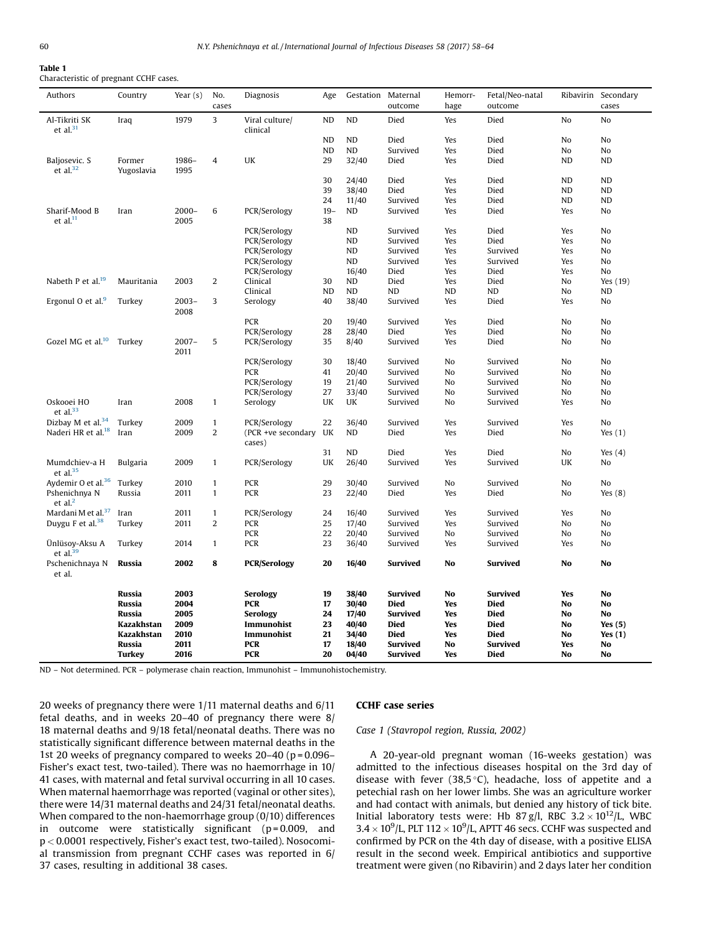#### <span id="page-2-0"></span>Table 1 Characteristic of pregnant CCHF cases.

| Authors                        | Country         | Year $(s)$ | No.<br>cases   | Diagnosis                  | Age       | Gestation Maternal | outcome         | Hemorr-<br>hage | Fetal/Neo-natal<br>outcome |                | Ribavirin Secondary<br>cases |
|--------------------------------|-----------------|------------|----------------|----------------------------|-----------|--------------------|-----------------|-----------------|----------------------------|----------------|------------------------------|
| Al-Tikriti SK<br>et al. $31$   | Iraq            | 1979       | 3              | Viral culture/<br>clinical | <b>ND</b> | ND                 | Died            | Yes             | Died                       | No             | No                           |
|                                |                 |            |                |                            | <b>ND</b> | <b>ND</b>          | Died            | Yes             | Died                       | No             | No                           |
|                                |                 |            |                |                            | <b>ND</b> | <b>ND</b>          | Survived        | Yes             | Died                       | No             | N <sub>o</sub>               |
| Baljosevic. S                  | Former          | 1986-      | $\overline{4}$ | UK                         | 29        | 32/40              | Died            | Yes             | Died                       | ND             | ND                           |
| et al. $32$                    | Yugoslavia      | 1995       |                |                            |           |                    |                 |                 |                            |                |                              |
|                                |                 |            |                |                            | 30        | 24/40              | Died            | Yes             | Died                       | <b>ND</b>      | ND                           |
|                                |                 |            |                |                            | 39        | 38/40              | Died            | Yes             | Died                       | N <sub>D</sub> | <b>ND</b>                    |
|                                |                 |            |                |                            | 24        | 11/40              | Survived        | Yes             | Died                       | ND             | <b>ND</b>                    |
| Sharif-Mood B                  | Iran            | $2000 -$   | 6              | PCR/Serology               | $19-$     | ND                 | Survived        | Yes             | Died                       | Yes            | No                           |
| et al. $^{11}$                 |                 | 2005       |                |                            | 38        |                    |                 |                 |                            |                |                              |
|                                |                 |            |                | PCR/Serology               |           | ND                 | Survived        | Yes             | Died                       | Yes            | No                           |
|                                |                 |            |                | PCR/Serology               |           | ND                 | Survived        | Yes             | Died                       | Yes            | N <sub>o</sub>               |
|                                |                 |            |                | PCR/Serology               |           | ND                 | Survived        | Yes             | Survived                   | Yes            | No                           |
|                                |                 |            |                | PCR/Serology               |           | ND                 | Survived        | Yes             | Survived                   | Yes            | No                           |
|                                |                 |            |                | PCR/Serology               |           | 16/40              | Died            | Yes             | Died                       | Yes            | No                           |
| Nabeth P et al. <sup>19</sup>  | Mauritania      | 2003       | $\overline{a}$ | Clinical                   | 30        | ND                 | Died            | Yes             | Died                       | No             | Yes (19)                     |
|                                |                 |            |                | Clinical                   | <b>ND</b> | ND                 | ND              | ND              | ND                         | No             | ND                           |
| Ergonul O et al. <sup>9</sup>  | Turkey          | $2003 -$   | 3              | Serology                   | 40        | 38/40              | Survived        | Yes             | Died                       | Yes            | No                           |
|                                |                 | 2008       |                |                            |           |                    |                 |                 |                            |                |                              |
|                                |                 |            |                | PCR                        | 20        | 19/40              | Survived        | Yes             | Died                       | No             | No                           |
|                                |                 |            |                | PCR/Serology               | 28        | 28/40              | Died            | Yes             | Died                       | No             | No                           |
| Gozel MG et al. <sup>10</sup>  | Turkey          | $2007 -$   | 5              | PCR/Serology               | 35        | 8/40               | Survived        | Yes             | Died                       | No             | N <sub>o</sub>               |
|                                |                 | 2011       |                |                            |           |                    |                 |                 |                            |                |                              |
|                                |                 |            |                | PCR/Serology               | 30        | 18/40              | Survived        | No              | Survived                   | No             | No                           |
|                                |                 |            |                | <b>PCR</b>                 | 41        | 20/40              | Survived        | No              | Survived                   | No             | N <sub>o</sub>               |
|                                |                 |            |                | PCR/Serology               | 19        | 21/40              | Survived        | No              | Survived                   | No             | N <sub>o</sub>               |
|                                |                 |            |                | PCR/Serology               | 27        | 33/40              | Survived        | No              | Survived                   | No             | No                           |
| Oskooei HO                     | Iran            | 2008       | $\mathbf{1}$   | Serology                   | UK        | UK                 | Survived        | No              | Survived                   | Yes            | No                           |
| et al. $33$                    |                 |            |                |                            |           |                    |                 |                 |                            |                |                              |
| Dizbay M et al. <sup>34</sup>  | Turkey          | 2009       | $\mathbf{1}$   | PCR/Serology               | 22        | 36/40              | Survived        | Yes             | Survived                   | Yes            | N <sub>o</sub>               |
| Naderi HR et al. <sup>18</sup> | Iran            | 2009       | 2              | (PCR +ve secondary         | UK        | ND                 | Died            | Yes             | Died                       | No             | Yes $(1)$                    |
|                                |                 |            |                | cases)                     |           |                    |                 |                 |                            |                |                              |
|                                |                 |            |                |                            | 31        | <b>ND</b>          | Died            | Yes             | Died                       | No             | Yes $(4)$                    |
| Mumdchiev-a H                  | <b>Bulgaria</b> | 2009       | $\mathbf{1}$   | PCR/Serology               | UK        | 26/40              | Survived        | Yes             | Survived                   | UK             | No                           |
| et al. $35$                    |                 |            |                |                            |           |                    |                 |                 |                            |                |                              |
| Aydemir O et al. <sup>36</sup> | Turkey          | 2010       | $\mathbf{1}$   | PCR                        | 29        | 30/40              | Survived        | No              | Survived                   | No             | No                           |
| Pshenichnya N                  | Russia          | 2011       | $\mathbf{1}$   | PCR                        | 23        | 22/40              | Died            | Yes             | Died                       | No             | Yes $(8)$                    |
| et al. $2$                     |                 |            |                |                            |           |                    |                 |                 |                            |                |                              |
| Mardani M et al. <sup>37</sup> | Iran            | 2011       | $\mathbf{1}$   | PCR/Serology               | 24        | 16/40              | Survived        | Yes             | Survived                   | Yes            | No                           |
| Duygu F et al. <sup>38</sup>   | Turkey          | 2011       | $\overline{2}$ | PCR                        | 25        | 17/40              | Survived        | Yes             | Survived                   | No             | No                           |
|                                |                 |            |                | PCR                        | 22        | 20/40              | Survived        | No              | Survived                   | No             | N <sub>o</sub>               |
| Ünlüsoy-Aksu A<br>et al. $39$  | Turkey          | 2014       | $\mathbf{1}$   | PCR                        | 23        | 36/40              | Survived        | Yes             | Survived                   | Yes            | No                           |
| Pschenichnaya N<br>et al.      | Russia          | 2002       | 8              | <b>PCR/Serology</b>        | 20        | 16/40              | <b>Survived</b> | <b>No</b>       | <b>Survived</b>            | No             | <b>No</b>                    |
|                                | Russia          | 2003       |                | <b>Serology</b>            | 19        | 38/40              | <b>Survived</b> | No              | <b>Survived</b>            | Yes            | No                           |
|                                | Russia          | 2004       |                | <b>PCR</b>                 | 17        | 30/40              | <b>Died</b>     | Yes             | Died                       | No             | <b>No</b>                    |
|                                | Russia          | 2005       |                | Serology                   | 24        | 17/40              | <b>Survived</b> | Yes             | <b>Died</b>                | No             | No                           |
|                                | Kazakhstan      | 2009       |                | Immunohist                 | 23        | 40/40              | <b>Died</b>     | Yes             | <b>Died</b>                | No             | Yes $(5)$                    |
|                                | Kazakhstan      | 2010       |                | Immunohist                 | 21        | 34/40              | <b>Died</b>     | Yes             | <b>Died</b>                | No             | Yes $(1)$                    |
|                                | Russia          | 2011       |                | <b>PCR</b>                 | 17        | 18/40              | <b>Survived</b> | No              | <b>Survived</b>            | Yes            | No                           |
|                                | <b>Turkey</b>   | 2016       |                | <b>PCR</b>                 | 20        | 04/40              | <b>Survived</b> | Yes             | <b>Died</b>                | No             | <b>No</b>                    |
|                                |                 |            |                |                            |           |                    |                 |                 |                            |                |                              |

ND – Not determined. PCR – polymerase chain reaction, Immunohist – Immunohistochemistry.

20 weeks of pregnancy there were 1/11 maternal deaths and 6/11 fetal deaths, and in weeks 20–40 of pregnancy there were 8/ 18 maternal deaths and 9/18 fetal/neonatal deaths. There was no statistically significant difference between maternal deaths in the 1st 20 weeks of pregnancy compared to weeks 20-40 (p = 0.096-Fisher's exact test, two-tailed). There was no haemorrhage in 10/ 41 cases, with maternal and fetal survival occurring in all 10 cases. When maternal haemorrhage was reported (vaginal or other sites), there were 14/31 maternal deaths and 24/31 fetal/neonatal deaths. When compared to the non-haemorrhage group (0/10) differences in outcome were statistically significant ( $p = 0.009$ , and p < 0.0001 respectively, Fisher's exact test, two-tailed). Nosocomial transmission from pregnant CCHF cases was reported in 6/ 37 cases, resulting in additional 38 cases.

## CCHF case series

Case 1 (Stavropol region, Russia, 2002)

A 20-year-old pregnant woman (16-weeks gestation) was admitted to the infectious diseases hospital on the 3rd day of disease with fever (38,5 $\degree$ C), headache, loss of appetite and a petechial rash on her lower limbs. She was an agriculture worker and had contact with animals, but denied any history of tick bite. Initial laboratory tests were: Hb 87 g/l, RBC  $3.2 \times 10^{12}$ /L, WBC  $3.4 \times 10^9$ /L, PLT 112  $\times$  10<sup>9</sup>/L, APTT 46 secs. CCHF was suspected and confirmed by PCR on the 4th day of disease, with a positive ELISA result in the second week. Empirical antibiotics and supportive treatment were given (no Ribavirin) and 2 days later her condition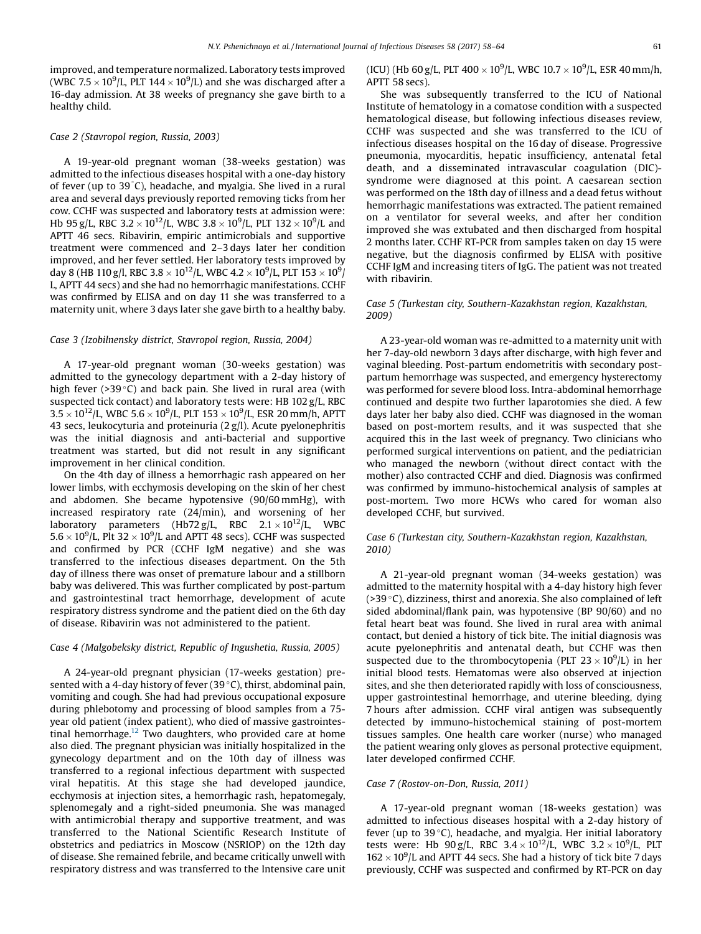improved, and temperature normalized. Laboratory tests improved (WBC 7.5  $\times$  10<sup>9</sup>/L, PLT 144  $\times$  10<sup>9</sup>/L) and she was discharged after a 16-day admission. At 38 weeks of pregnancy she gave birth to a healthy child.

## Case 2 (Stavropol region, Russia, 2003)

A 19-year-old pregnant woman (38-weeks gestation) was admitted to the infectious diseases hospital with a one-day history of fever (up to 39 C), headache, and myalgia. She lived in a rural area and several days previously reported removing ticks from her cow. CCHF was suspected and laboratory tests at admission were: Hb 95 g/L, RBC 3.2  $\times 10^{12}$ /L, WBC 3.8  $\times 10^{9}$ /L, PLT 132  $\times 10^{9}$ /L and APTT 46 secs. Ribavirin, empiric antimicrobials and supportive treatment were commenced and 2–3 days later her condition improved, and her fever settled. Her laboratory tests improved by day 8 (HB 110 g/l, RBC 3.8  $\times$  10 $^{12}$ /L, WBC 4.2  $\times$  10 $^{9}$ /L, PLT 153  $\times$  10 $^{9}$ / L, APTT 44 secs) and she had no hemorrhagic manifestations. CCHF was confirmed by ELISA and on day 11 she was transferred to a maternity unit, where 3 days later she gave birth to a healthy baby.

## Case 3 (Izobilnensky district, Stavropol region, Russia, 2004)

A 17-year-old pregnant woman (30-weeks gestation) was admitted to the gynecology department with a 2-day history of high fever ( $>39^{\circ}$ C) and back pain. She lived in rural area (with suspected tick contact) and laboratory tests were: HB 102 g/L, RBC  $3.5 \times 10^{12}$ /L, WBC  $5.6 \times 10^9$ /L, PLT  $153 \times 10^9$ /L, ESR 20 mm/h, APTT 43 secs, leukocyturia and proteinuria (2 g/l). Acute pyelonephritis was the initial diagnosis and anti-bacterial and supportive treatment was started, but did not result in any significant improvement in her clinical condition.

On the 4th day of illness a hemorrhagic rash appeared on her lower limbs, with ecchymosis developing on the skin of her chest and abdomen. She became hypotensive (90/60 mmHg), with increased respiratory rate (24/min), and worsening of her laboratory parameters (Hb72 g/L, RBC  $2.1 \times 10^{12}$ /L, WBC  $5.6 \times 10^9$ /L, Plt 32  $\times$  10<sup>9</sup>/L and APTT 48 secs). CCHF was suspected and confirmed by PCR (CCHF IgM negative) and she was transferred to the infectious diseases department. On the 5th day of illness there was onset of premature labour and a stillborn baby was delivered. This was further complicated by post-partum and gastrointestinal tract hemorrhage, development of acute respiratory distress syndrome and the patient died on the 6th day of disease. Ribavirin was not administered to the patient.

## Case 4 (Malgobeksky district, Republic of Ingushetia, Russia, 2005)

A 24-year-old pregnant physician (17-weeks gestation) presented with a 4-day history of fever (39 $\degree$ C), thirst, abdominal pain, vomiting and cough. She had had previous occupational exposure during phlebotomy and processing of blood samples from a 75 year old patient (index patient), who died of massive gastrointes-tinal hemorrhage.<sup>[12](#page-5-0)</sup> Two daughters, who provided care at home also died. The pregnant physician was initially hospitalized in the gynecology department and on the 10th day of illness was transferred to a regional infectious department with suspected viral hepatitis. At this stage she had developed jaundice, ecchymosis at injection sites, a hemorrhagic rash, hepatomegaly, splenomegaly and a right-sided pneumonia. She was managed with antimicrobial therapy and supportive treatment, and was transferred to the National Scientific Research Institute of obstetrics and pediatrics in Moscow (NSRIOP) on the 12th day of disease. She remained febrile, and became critically unwell with respiratory distress and was transferred to the Intensive care unit

(ICU) (Hb 60 g/L, PLT 400  $\times$  10<sup>9</sup>/L, WBC 10.7  $\times$  10<sup>9</sup>/L, ESR 40 mm/h, APTT 58 secs).

She was subsequently transferred to the ICU of National Institute of hematology in a comatose condition with a suspected hematological disease, but following infectious diseases review, CCHF was suspected and she was transferred to the ICU of infectious diseases hospital on the 16 day of disease. Progressive pneumonia, myocarditis, hepatic insufficiency, antenatal fetal death, and a disseminated intravascular coagulation (DIC) syndrome were diagnosed at this point. A caesarean section was performed on the 18th day of illness and a dead fetus without hemorrhagic manifestations was extracted. The patient remained on a ventilator for several weeks, and after her condition improved she was extubated and then discharged from hospital 2 months later. CCHF RT-PCR from samples taken on day 15 were negative, but the diagnosis confirmed by ELISA with positive CCHF IgM and increasing titers of IgG. The patient was not treated with ribavirin.

## Case 5 (Turkestan city, Southern-Kazakhstan region, Kazakhstan, 2009)

A 23-year-old woman was re-admitted to a maternity unit with her 7-day-old newborn 3 days after discharge, with high fever and vaginal bleeding. Post-partum endometritis with secondary postpartum hemorrhage was suspected, and emergency hysterectomy was performed for severe blood loss. Intra-abdominal hemorrhage continued and despite two further laparotomies she died. A few days later her baby also died. CCHF was diagnosed in the woman based on post-mortem results, and it was suspected that she acquired this in the last week of pregnancy. Two clinicians who performed surgical interventions on patient, and the pediatrician who managed the newborn (without direct contact with the mother) also contracted CCHF and died. Diagnosis was confirmed was confirmed by immuno-histochemical analysis of samples at post-mortem. Two more HCWs who cared for woman also developed CCHF, but survived.

## Case 6 (Turkestan city, Southern-Kazakhstan region, Kazakhstan, 2010)

A 21-year-old pregnant woman (34-weeks gestation) was admitted to the maternity hospital with a 4-day history high fever ( $>39^{\circ}$ C), dizziness, thirst and anorexia. She also complained of left sided abdominal/flank pain, was hypotensive (BP 90/60) and no fetal heart beat was found. She lived in rural area with animal contact, but denied a history of tick bite. The initial diagnosis was acute pyelonephritis and antenatal death, but CCHF was then suspected due to the thrombocytopenia (PLT  $23 \times 10^9$ /L) in her initial blood tests. Hematomas were also observed at injection sites, and she then deteriorated rapidly with loss of consciousness, upper gastrointestinal hemorrhage, and uterine bleeding, dying 7 hours after admission. CCHF viral antigen was subsequently detected by immuno-histochemical staining of post-mortem tissues samples. One health care worker (nurse) who managed the patient wearing only gloves as personal protective equipment, later developed confirmed CCHF.

### Case 7 (Rostov-on-Don, Russia, 2011)

A 17-year-old pregnant woman (18-weeks gestation) was admitted to infectious diseases hospital with a 2-day history of fever (up to  $39^{\circ}$ C), headache, and myalgia. Her initial laboratory tests were: Hb 90 g/L, RBC  $3.4 \times 10^{12}$ /L, WBC  $3.2 \times 10^{9}$ /L, PLT  $162 \times 10^9$ /L and APTT 44 secs. She had a history of tick bite 7 days previously, CCHF was suspected and confirmed by RT-PCR on day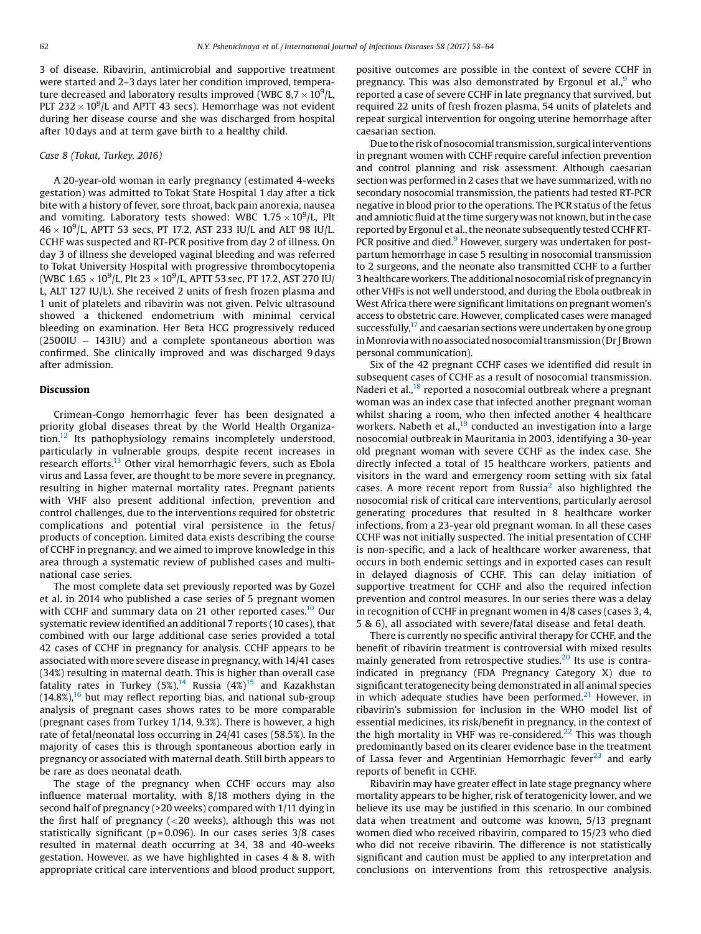3 of disease. Ribavirin, antimicrobial and supportive treatment were started and 2–3 days later her condition improved, temperature decreased and laboratory results improved (WBC 8,7  $\times$  10<sup>9</sup>/L, PLT 232  $\times$  10<sup>9</sup>/L and APTT 43 secs). Hemorrhage was not evident during her disease course and she was discharged from hospital after 10 days and at term gave birth to a healthy child.

### Case 8 (Tokat, Turkey, 2016)

A 20-year-old woman in early pregnancy (estimated 4-weeks gestation) was admitted to Tokat State Hospital 1 day after a tick bite with a history of fever, sore throat, back pain anorexia, nausea and vomiting. Laboratory tests showed: WBC  $1.75 \times 10^9$ /L, Plt  $46 \times 10^9$ /L, APTT 53 secs, PT 17.2, AST 233 IU/L and ALT 98 IU/L. CCHF was suspected and RT-PCR positive from day 2 of illness. On day 3 of illness she developed vaginal bleeding and was referred to Tokat University Hospital with progressive thrombocytopenia (WBC 1.65  $\times$  10<sup>9</sup>/L, Plt 23  $\times$  10<sup>9</sup>/L, APTT 53 sec, PT 17.2, AST 270 IU/ L, ALT 127 IU/L). She received 2 units of fresh frozen plasma and 1 unit of platelets and ribavirin was not given. Pelvic ultrasound showed a thickened endometrium with minimal cervical bleeding on examination. Her Beta HCG progressively reduced  $(2500$ IU  $-$  143IU) and a complete spontaneous abortion was confirmed. She clinically improved and was discharged 9 days after admission.

## Discussion

Crimean-Congo hemorrhagic fever has been designated a priority global diseases threat by the World Health Organization[.12](#page-5-0) Its pathophysiology remains incompletely understood, particularly in vulnerable groups, despite recent increases in research efforts.<sup>[13](#page-5-0)</sup> Other viral hemorrhagic fevers, such as Ebola virus and Lassa fever, are thought to be more severe in pregnancy, resulting in higher maternal mortality rates. Pregnant patients with VHF also present additional infection, prevention and control challenges, due to the interventions required for obstetric complications and potential viral persistence in the fetus/ products of conception. Limited data exists describing the course of CCHF in pregnancy, and we aimed to improve knowledge in this area through a systematic review of published cases and multinational case series.

The most complete data set previously reported was by Gozel et al. in 2014 who published a case series of 5 pregnant women with CCHF and summary data on 21 other reported cases.<sup>[10](#page-5-0)</sup> Our systematic review identified an additional 7 reports (10 cases), that combined with our large additional case series provided a total 42 cases of CCHF in pregnancy for analysis. CCHF appears to be associated with more severe disease in pregnancy, with 14/41 cases (34%) resulting in maternal death. This is higher than overall case fatality rates in Turkey  $(5\%)$ <sup>[14](#page-5-0)</sup> Russia  $(4\%)$ <sup>15</sup> and Kazakhstan  $(14.8\%)$ <sup>[16](#page-5-0)</sup> but may reflect reporting bias, and national sub-group analysis of pregnant cases shows rates to be more comparable (pregnant cases from Turkey 1/14, 9.3%). There is however, a high rate of fetal/neonatal loss occurring in 24/41 cases (58.5%). In the majority of cases this is through spontaneous abortion early in pregnancy or associated with maternal death. Still birth appears to be rare as does neonatal death.

The stage of the pregnancy when CCHF occurs may also influence maternal mortality, with 8/18 mothers dying in the second half of pregnancy (>20 weeks) compared with 1/11 dying in the first half of pregnancy  $\left($  <20 weeks), although this was not statistically significant ( $p = 0.096$ ). In our cases series  $3/8$  cases resulted in maternal death occurring at 34, 38 and 40-weeks gestation. However, as we have highlighted in cases 4 & 8, with appropriate critical care interventions and blood product support, positive outcomes are possible in the context of severe CCHF in pregnancy. This was also demonstrated by Ergonul et al.,  $9$  who reported a case of severe CCHF in late pregnancy that survived, but required 22 units of fresh frozen plasma, 54 units of platelets and repeat surgical intervention for ongoing uterine hemorrhage after caesarian section.

Due to the risk of nosocomial transmission, surgical interventions in pregnant women with CCHF require careful infection prevention and control planning and risk assessment. Although caesarian section was performed in 2 cases that we have summarized, with no secondary nosocomial transmission, the patients had tested RT-PCR negative in blood prior to the operations. The PCR status of the fetus and amniotic fluid at the time surgery was not known, but in the case reported by Ergonul et al., the neonate subsequently tested CCHFRT-PCR positive and died.<sup>9</sup> However, surgery was undertaken for postpartum hemorrhage in case 5 resulting in nosocomial transmission to 2 surgeons, and the neonate also transmitted CCHF to a further 3healthcareworkers. The additionalnosocomial riskofpregnancy in other VHFs is not well understood, and during the Ebola outbreak in West Africa there were significant limitations on pregnant women's access to obstetric care. However, complicated cases were managed successfully, $^{17}$  and caesarian sections were undertaken by one group inMonroviawithno associatednosocomialtransmission (Dr JBrown personal communication).

Six of the 42 pregnant CCHF cases we identified did result in subsequent cases of CCHF as a result of nosocomial transmission. Naderi et al.,<sup>18</sup> reported a nosocomial outbreak where a pregnant woman was an index case that infected another pregnant woman whilst sharing a room, who then infected another 4 healthcare workers. Nabeth et al., $^{19}$  $^{19}$  $^{19}$  conducted an investigation into a large nosocomial outbreak in Mauritania in 2003, identifying a 30-year old pregnant woman with severe CCHF as the index case. She directly infected a total of 15 healthcare workers, patients and visitors in the ward and emergency room setting with six fatal cases. A more recent report from Russia<sup>[2](#page-5-0)</sup> also highlighted the nosocomial risk of critical care interventions, particularly aerosol generating procedures that resulted in 8 healthcare worker infections, from a 23-year old pregnant woman. In all these cases CCHF was not initially suspected. The initial presentation of CCHF is non-specific, and a lack of healthcare worker awareness, that occurs in both endemic settings and in exported cases can result in delayed diagnosis of CCHF. This can delay initiation of supportive treatment for CCHF and also the required infection prevention and control measures. In our series there was a delay in recognition of CCHF in pregnant women in 4/8 cases (cases 3, 4, 5 & 6), all associated with severe/fatal disease and fetal death.

There is currently no specific antiviral therapy for CCHF, and the benefit of ribavirin treatment is controversial with mixed results mainly generated from retrospective studies.<sup>[20](#page-5-0)</sup> Its use is contraindicated in pregnancy (FDA Pregnancy Category X) due to significant teratogenecity being demonstrated in all animal species in which adequate studies have been performed. $21$  However, in ribavirin's submission for inclusion in the WHO model list of essential medicines, its risk/benefit in pregnancy, in the context of the high mortality in VHF was re-considered.<sup>22</sup> This was though predominantly based on its clearer evidence base in the treatment of Lassa fever and Argentinian Hemorrhagic fever $^{23}$  and early reports of benefit in CCHF.

Ribavirin may have greater effect in late stage pregnancy where mortality appears to be higher, risk of teratogenicity lower, and we believe its use may be justified in this scenario. In our combined data when treatment and outcome was known, 5/13 pregnant women died who received ribavirin, compared to 15/23 who died who did not receive ribavirin. The difference is not statistically significant and caution must be applied to any interpretation and conclusions on interventions from this retrospective analysis.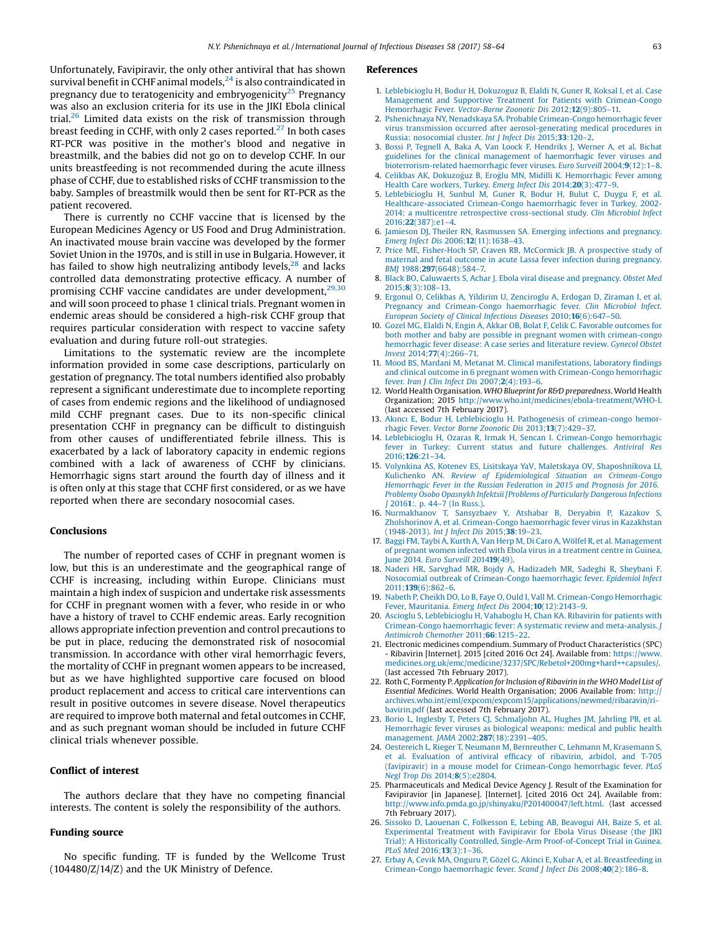<span id="page-5-0"></span>Unfortunately, Favipiravir, the only other antiviral that has shown survival benefit in CCHF animal models, $^{24}$  is also contraindicated in pregnancy due to teratogenicity and embryogenicity<sup>25</sup> Pregnancy was also an exclusion criteria for its use in the JIKI Ebola clinical trial.26 Limited data exists on the risk of transmission through breast feeding in CCHF, with only 2 cases reported.<sup>27</sup> In both cases RT-PCR was positive in the mother's blood and negative in breastmilk, and the babies did not go on to develop CCHF. In our units breastfeeding is not recommended during the acute illness phase of CCHF, due to established risks of CCHF transmission to the baby. Samples of breastmilk would then be sent for RT-PCR as the patient recovered.

There is currently no CCHF vaccine that is licensed by the European Medicines Agency or US Food and Drug Administration. An inactivated mouse brain vaccine was developed by the former Soviet Union in the 1970s, and is still in use in Bulgaria. However, it has failed to show high neutralizing antibody levels, $^{28}$  $^{28}$  $^{28}$  and lacks controlled data demonstrating protective efficacy. A number of promising CCHF vaccine candidates are under development,<sup>[29,30](#page-6-0)</sup> and will soon proceed to phase 1 clinical trials. Pregnant women in endemic areas should be considered a high-risk CCHF group that requires particular consideration with respect to vaccine safety evaluation and during future roll-out strategies.

Limitations to the systematic review are the incomplete information provided in some case descriptions, particularly on gestation of pregnancy. The total numbers identified also probably represent a significant underestimate due to incomplete reporting of cases from endemic regions and the likelihood of undiagnosed mild CCHF pregnant cases. Due to its non-specific clinical presentation CCHF in pregnancy can be difficult to distinguish from other causes of undifferentiated febrile illness. This is exacerbated by a lack of laboratory capacity in endemic regions combined with a lack of awareness of CCHF by clinicians. Hemorrhagic signs start around the fourth day of illness and it is often only at this stage that CCHF first considered, or as we have reported when there are secondary nosocomial cases.

## Conclusions

The number of reported cases of CCHF in pregnant women is low, but this is an underestimate and the geographical range of CCHF is increasing, including within Europe. Clinicians must maintain a high index of suspicion and undertake risk assessments for CCHF in pregnant women with a fever, who reside in or who have a history of travel to CCHF endemic areas. Early recognition allows appropriate infection prevention and control precautions to be put in place, reducing the demonstrated risk of nosocomial transmission. In accordance with other viral hemorrhagic fevers, the mortality of CCHF in pregnant women appears to be increased, but as we have highlighted supportive care focused on blood product replacement and access to critical care interventions can result in positive outcomes in severe disease. Novel therapeutics are required to improve both maternal and fetal outcomes in CCHF, and as such pregnant woman should be included in future CCHF clinical trials whenever possible.

## Conflict of interest

The authors declare that they have no competing financial interests. The content is solely the responsibility of the authors.

## Funding source

No specific funding. TF is funded by the Wellcome Trust (104480/Z/14/Z) and the UK Ministry of Defence.

#### **References**

- 1. [Leblebicioglu](http://refhub.elsevier.com/S1201-9712(17)30066-8/sbref0005) H, Bodur H, Dokuzoguz B, Elaldi N, Guner R, Koksal I, et al. Case Management and Supportive Treatment for Patients with [Crimean-Congo](http://refhub.elsevier.com/S1201-9712(17)30066-8/sbref0005) [Hemorrhagic](http://refhub.elsevier.com/S1201-9712(17)30066-8/sbref0005) Fever. Vector-Borne Zoonotic Dis 2012;12(9):805–11.
- 2. Pshenichnaya NY, Nenadskaya SA. Probable [Crimean-Congo](http://refhub.elsevier.com/S1201-9712(17)30066-8/sbref0010) hemorrhagic fever virus transmission occurred after [aerosol-generating](http://refhub.elsevier.com/S1201-9712(17)30066-8/sbref0010) medical procedures in Russia: [nosocomial](http://refhub.elsevier.com/S1201-9712(17)30066-8/sbref0010) cluster. Int J Infect Dis 2015;33:120–2.
- 3. Bossi P, Tegnell A, Baka A, Van Loock F, [Hendriks](http://refhub.elsevier.com/S1201-9712(17)30066-8/sbref0015) J, Werner A, et al. Bichat guidelines for the clinical management of [haemorrhagic](http://refhub.elsevier.com/S1201-9712(17)30066-8/sbref0015) fever viruses and [bioterrorism-related](http://refhub.elsevier.com/S1201-9712(17)30066-8/sbref0015) haemorrhagic fever viruses. Euro Surveill 2004;9(12):1–8.
- 4. Celikbas AK, Dokuzoguz B, Eroglu MN, Midilli K. [Hemorrhagic](http://refhub.elsevier.com/S1201-9712(17)30066-8/sbref0020) Fever among Health Care [workers,](http://refhub.elsevier.com/S1201-9712(17)30066-8/sbref0020) Turkey. Emerg Infect Dis 2014;20(3):477–9.
- 5. [Leblebicioglu](http://refhub.elsevier.com/S1201-9712(17)30066-8/sbref0025) H, Sunbul M, Guner R, Bodur H, Bulut C, Duygu F, et al. [Healthcare-associated](http://refhub.elsevier.com/S1201-9712(17)30066-8/sbref0025) Crimean-Congo haemorrhagic fever in Turkey, 2002- 2014: a multicentre retrospective [cross-sectional](http://refhub.elsevier.com/S1201-9712(17)30066-8/sbref0025) study. Clin Microbiol Infect 2016;22[\(387\):e1](http://refhub.elsevier.com/S1201-9712(17)30066-8/sbref0025)–4.
- 6. Jamieson DJ, Theiler RN, [Rasmussen](http://refhub.elsevier.com/S1201-9712(17)30066-8/sbref0030) SA. Emerging infections and pregnancy. Emerg Infect Dis 2006;12[\(11\):1638](http://refhub.elsevier.com/S1201-9712(17)30066-8/sbref0030)–43.
- 7. Price ME, [Fisher-Hoch](http://refhub.elsevier.com/S1201-9712(17)30066-8/sbref0035) SP, Craven RB, McCormick JB. A prospective study of maternal and fetal outcome in acute Lassa fever infection during [pregnancy.](http://refhub.elsevier.com/S1201-9712(17)30066-8/sbref0035) BMJ 1988;297[\(6648\):584](http://refhub.elsevier.com/S1201-9712(17)30066-8/sbref0035)–7.
- 8. Black BO, [Caluwaerts](http://refhub.elsevier.com/S1201-9712(17)30066-8/sbref0040) S, Achar J. Ebola viral disease and pregnancy. Obstet Med 2015;8[\(3\):108](http://refhub.elsevier.com/S1201-9712(17)30066-8/sbref0040)–13.
- 9. Ergonul O, Celikbas A, Yildirim U, [Zenciroglu](http://refhub.elsevier.com/S1201-9712(17)30066-8/sbref0045) A, Erdogan D, Ziraman I, et al. Pregnancy and [Crimean-Congo](http://refhub.elsevier.com/S1201-9712(17)30066-8/sbref0045) haemorrhagic fever. Clin Microbiol Infect. European Society of Clinical [Infectious](http://refhub.elsevier.com/S1201-9712(17)30066-8/sbref0045) Diseases 2010;16(6):647–50.
- 10. Gozel MG, Elaldi N, Engin A, Akkar OB, Bolat F, Celik C. Favorable [outcomes](http://refhub.elsevier.com/S1201-9712(17)30066-8/sbref0050) for both mother and baby are possible in pregnant women with [crimean-congo](http://refhub.elsevier.com/S1201-9712(17)30066-8/sbref0050) [hemorrhagic](http://refhub.elsevier.com/S1201-9712(17)30066-8/sbref0050) fever disease: A case series and literature review. Gynecol Obstet Invest 2014;77[\(4\):266](http://refhub.elsevier.com/S1201-9712(17)30066-8/sbref0050)–71.
- 11. Mood BS, Mardani M, Metanat M. Clinical [manifestations,](http://refhub.elsevier.com/S1201-9712(17)30066-8/sbref0055) laboratory findings and clinical outcome in 6 pregnant women with [Crimean-Congo](http://refhub.elsevier.com/S1201-9712(17)30066-8/sbref0055) hemorrhagic fever. Iran J Clin Infect Dis 2007;2[\(4\):193](http://refhub.elsevier.com/S1201-9712(17)30066-8/sbref0055)–6.
- 12. World Health Organisation. WHO Blueprint for R&D preparedness. World Health Organization; 2015 <http://www.who.int/medicines/ebola-treatment/WHO-l>. (last accessed 7th February 2017).
- 13. Akıncı E, Bodur H, Leblebicioglu H. Pathogenesis of [crimean-congo](http://refhub.elsevier.com/S1201-9712(17)30066-8/sbref0065) hemorrhagic Fever. Vector Borne [Zoonotic](http://refhub.elsevier.com/S1201-9712(17)30066-8/sbref0065) Dis 2013;13(7):429–37.
- 14. Leblebicioglu H, Ozaras R, Irmak H, Sencan I. [Crimean-Congo](http://refhub.elsevier.com/S1201-9712(17)30066-8/sbref0070) hemorrhagic fever in Turkey: Current status and future [challenges.](http://refhub.elsevier.com/S1201-9712(17)30066-8/sbref0070) Antiviral Res [2016;](http://refhub.elsevier.com/S1201-9712(17)30066-8/sbref0070)126:21–34.
- 15. Volynkina AS, Kotenev ES, Lisitskaya YaV, Maletskaya OV, [Shaposhnikova](http://refhub.elsevier.com/S1201-9712(17)30066-8/sbref0075) LI, Kulichenko AN. Review of [Epidemiological](http://refhub.elsevier.com/S1201-9712(17)30066-8/sbref0075) Situation on Crimean-Congo [Hemorrhagic](http://refhub.elsevier.com/S1201-9712(17)30066-8/sbref0075) Fever in the Russian Federation in 2015 and Prognosis for 2016. Problemy Osobo Opasnykh Infektsii [Problems of [Particularly](http://refhub.elsevier.com/S1201-9712(17)30066-8/sbref0075) Dangerous Infections 20161: p. 44–7 (In [Russ.\)](http://refhub.elsevier.com/S1201-9712(17)30066-8/sbref0075)
- 16. [Nurmakhanov](http://refhub.elsevier.com/S1201-9712(17)30066-8/sbref0080) T, Sansyzbaev Y, Atshabar B, Deryabin P, Kazakov S, Zholshorinov A, et al. [Crimean-Congo](http://refhub.elsevier.com/S1201-9712(17)30066-8/sbref0080) haemorrhagic fever virus in Kazakhstan [\(1948-2013\).](http://refhub.elsevier.com/S1201-9712(17)30066-8/sbref0080) Int J Infect Dis 2015;38:19–23.
- 17. Baggi FM, Taybi A, Kurth A, Van Herp M, Di Caro A, Wölfel R, et al. [Management](http://refhub.elsevier.com/S1201-9712(17)30066-8/sbref0085) of pregnant women infected with Ebola virus in a [treatment](http://refhub.elsevier.com/S1201-9712(17)30066-8/sbref0085) centre in Guinea, June 2014. Euro [Surveill](http://refhub.elsevier.com/S1201-9712(17)30066-8/sbref0085) 201419(49).
- 18. Naderi HR, Sarvghad MR, Bojdy A, [Hadizadeh](http://refhub.elsevier.com/S1201-9712(17)30066-8/sbref0090) MR, Sadeghi R, Sheybani F. Nosocomial outbreak of [Crimean-Congo](http://refhub.elsevier.com/S1201-9712(17)30066-8/sbref0090) haemorrhagic fever. Epidemiol Infect 2011;139[\(6\):862](http://refhub.elsevier.com/S1201-9712(17)30066-8/sbref0090)–6.
- 19. Nabeth P, Cheikh DO, Lo B, Faye O, Ould I, Vall M. [Crimean-Congo](http://refhub.elsevier.com/S1201-9712(17)30066-8/sbref0095) Hemorrhagic Fever, [Mauritania.](http://refhub.elsevier.com/S1201-9712(17)30066-8/sbref0095) Emerg Infect Dis 2004;10(12):2143–9.
- 20. Ascioglu S, [Leblebicioglu](http://refhub.elsevier.com/S1201-9712(17)30066-8/sbref0100) H, Vahaboglu H, Chan KA. Ribavirin for patients with [Crimean-Congo](http://refhub.elsevier.com/S1201-9712(17)30066-8/sbref0100) haemorrhagic fever: A systematic review and meta-analysis. J [Antimicrob](http://refhub.elsevier.com/S1201-9712(17)30066-8/sbref0100) Chemother 2011;66:1215–22.
- 21. Electronic medicines compendium. Summary of Product Characteristics (SPC) - Ribavirin [Internet]. 2015 [cited 2016 Oct 24]. Available from: [https://www.](https://www.medicines.org.uk/emc/medicine/3237/SPC/Rebetol+200mg+hard++capsules/) [medicines.org.uk/emc/medicine/3237/SPC/Rebetol+200mg+hard++capsules/.](https://www.medicines.org.uk/emc/medicine/3237/SPC/Rebetol+200mg+hard++capsules/) (last accessed 7th February 2017).
- 22. Roth C, Formenty P. Application for Inclusion of Ribavirin in the WHO Model List of Essential Medicines. World Health Organisation; 2006 Available from: [http://](http://archives.who.int/eml/expcom/expcom15/applications/newmed/ribaravin/ribavirin.pdf) [archives.who.int/eml/expcom/expcom15/applications/newmed/ribaravin/ri](http://archives.who.int/eml/expcom/expcom15/applications/newmed/ribaravin/ribavirin.pdf)[bavirin.pdf](http://archives.who.int/eml/expcom/expcom15/applications/newmed/ribaravin/ribavirin.pdf) (last accessed 7th February 2017).
- 23. Borio L, Inglesby T, Peters CJ, [Schmaljohn](http://refhub.elsevier.com/S1201-9712(17)30066-8/sbref0115) AL, Hughes JM, Jahrling PB, et al. [Hemorrhagic](http://refhub.elsevier.com/S1201-9712(17)30066-8/sbref0115) fever viruses as biological weapons: medical and public health [management.](http://refhub.elsevier.com/S1201-9712(17)30066-8/sbref0115) JAMA 2002;287(18):2391–405.
- 24. Oestereich L, Rieger T, Neumann M, [Bernreuther](http://refhub.elsevier.com/S1201-9712(17)30066-8/sbref0120) C, Lehmann M, Krasemann S, et al. [Evaluation](http://refhub.elsevier.com/S1201-9712(17)30066-8/sbref0120) of antiviral efficacy of ribavirin, arbidol, and T-705 (favipiravir) in a mouse model for [Crimean-Congo](http://refhub.elsevier.com/S1201-9712(17)30066-8/sbref0120) hemorrhagic fever. PLoS Negl Trop Dis 2014;8[\(5\):e2804](http://refhub.elsevier.com/S1201-9712(17)30066-8/sbref0120).
- 25. Pharmaceuticals and Medical Device Agency J. Result of the Examination for Favipiravior [in Japanese]. [Internet]. [cited 2016 Oct 24]. Available from: [http://www.info.pmda.go.jp/shinyaku/P201400047/left.html.](http://www.info.pmda.go.jp/shinyaku/P201400047/left.html) (last accessed 7th February 2017).
- 26. Sissoko D, Laouenan C, [Folkesson](http://refhub.elsevier.com/S1201-9712(17)30066-8/sbref0130) E, Lebing AB, Beavogui AH, Baize S, et al. [Experimental](http://refhub.elsevier.com/S1201-9712(17)30066-8/sbref0130) Treatment with Favipiravir for Ebola Virus Disease (the JIKI Trial): A Historically Controlled, Single-Arm [Proof-of-Concept](http://refhub.elsevier.com/S1201-9712(17)30066-8/sbref0130) Trial in Guinea. PLoS Med [2016;](http://refhub.elsevier.com/S1201-9712(17)30066-8/sbref0130)13(3):1–36.
- 27. Erbay A, Cevik MA, Onguru P, Gözel G, Akinci E, Kubar A, et al. [Breastfeeding](http://refhub.elsevier.com/S1201-9712(17)30066-8/sbref0135) in [Crimean-Congo](http://refhub.elsevier.com/S1201-9712(17)30066-8/sbref0135) haemorrhagic fever. Scand J Infect Dis 2008;40(2):186–8.